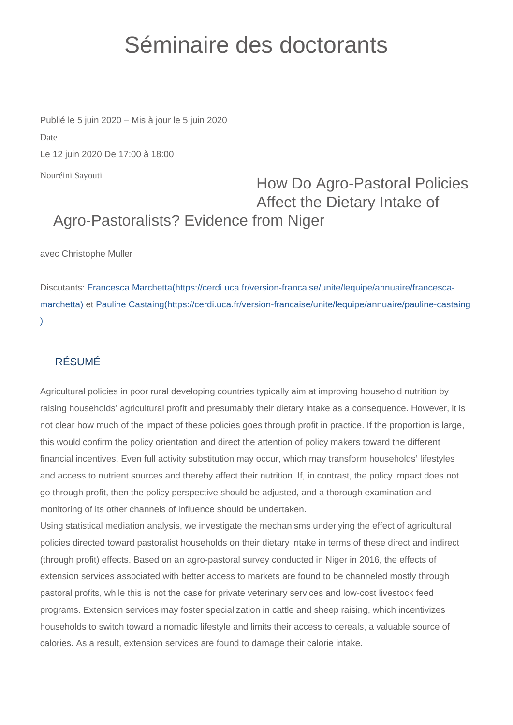## Séminaire des doctorants

Nouréini Sayouti Publié le 5 juin 2020 – Mis à jour le 5 juin 2020 Date Le 12 juin 2020 De 17:00 à 18:00

## How Do Agro-Pastoral Policies Affect the Dietary Intake of Agro-Pastoralists? Evidence from Niger

avec Christophe Muller

Discutants: [Francesca Marchetta\(https://cerdi.uca.fr/version-francaise/unite/lequipe/annuaire/francesca](https://cerdi.uca.fr/version-francaise/unite/lequipe/annuaire/francesca-marchetta)[marchetta\)](https://cerdi.uca.fr/version-francaise/unite/lequipe/annuaire/francesca-marchetta) et [Pauline Castaing\(https://cerdi.uca.fr/version-francaise/unite/lequipe/annuaire/pauline-castaing](https://cerdi.uca.fr/version-francaise/unite/lequipe/annuaire/pauline-castaing) [\)](https://cerdi.uca.fr/version-francaise/unite/lequipe/annuaire/pauline-castaing)

## RÉSUMÉ

Agricultural policies in poor rural developing countries typically aim at improving household nutrition by raising households' agricultural profit and presumably their dietary intake as a consequence. However, it is not clear how much of the impact of these policies goes through profit in practice. If the proportion is large, this would confirm the policy orientation and direct the attention of policy makers toward the different financial incentives. Even full activity substitution may occur, which may transform households' lifestyles and access to nutrient sources and thereby affect their nutrition. If, in contrast, the policy impact does not go through profit, then the policy perspective should be adjusted, and a thorough examination and monitoring of its other channels of influence should be undertaken.

Using statistical mediation analysis, we investigate the mechanisms underlying the effect of agricultural policies directed toward pastoralist households on their dietary intake in terms of these direct and indirect (through profit) effects. Based on an agro-pastoral survey conducted in Niger in 2016, the effects of extension services associated with better access to markets are found to be channeled mostly through pastoral profits, while this is not the case for private veterinary services and low-cost livestock feed programs. Extension services may foster specialization in cattle and sheep raising, which incentivizes households to switch toward a nomadic lifestyle and limits their access to cereals, a valuable source of calories. As a result, extension services are found to damage their calorie intake.